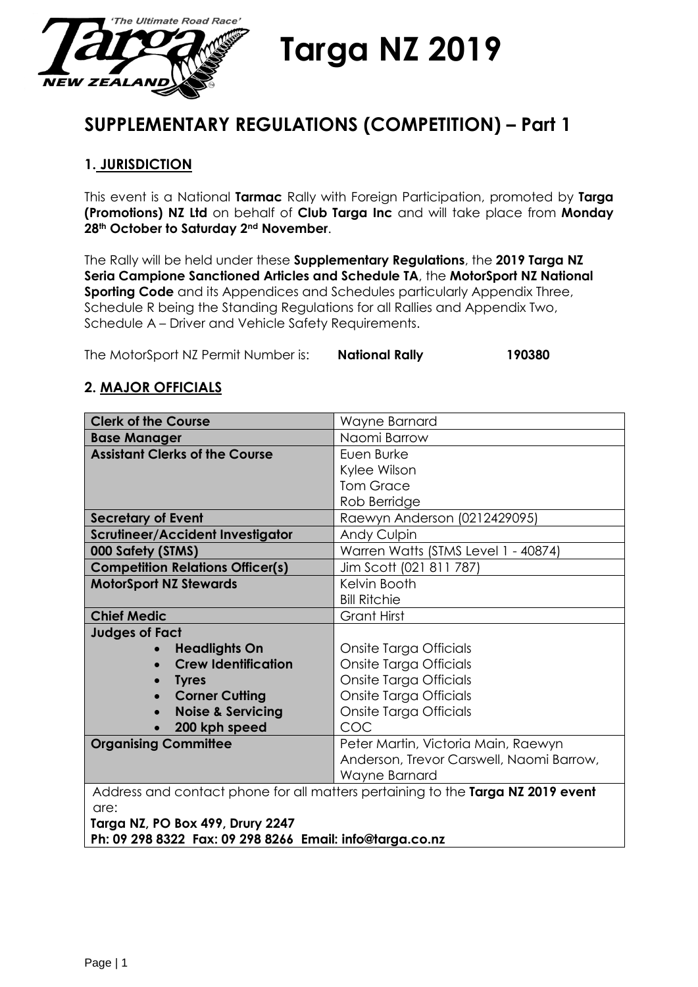

# **Targa NZ 2019**

## **SUPPLEMENTARY REGULATIONS (COMPETITION) – Part 1**

## **1. JURISDICTION**

This event is a National **Tarmac** Rally with Foreign Participation, promoted by **Targa (Promotions) NZ Ltd** on behalf of **Club Targa Inc** and will take place from **Monday 28th October to Saturday 2nd November**.

The Rally will be held under these **Supplementary Regulations**, the **2019 Targa NZ Seria Campione Sanctioned Articles and Schedule TA**, the **MotorSport NZ National Sporting Code** and its Appendices and Schedules particularly Appendix Three, Schedule R being the Standing Regulations for all Rallies and Appendix Two, Schedule A – Driver and Vehicle Safety Requirements.

The MotorSport NZ Permit Number is: **National Rally 190380**

## **2. MAJOR OFFICIALS**

| <b>Clerk of the Course</b>              | Wayne Barnard                                                                   |  |
|-----------------------------------------|---------------------------------------------------------------------------------|--|
| <b>Base Manager</b>                     | Naomi Barrow                                                                    |  |
| <b>Assistant Clerks of the Course</b>   | Euen Burke                                                                      |  |
|                                         | Kylee Wilson                                                                    |  |
|                                         | <b>Tom Grace</b>                                                                |  |
|                                         | Rob Berridge                                                                    |  |
| <b>Secretary of Event</b>               | Raewyn Anderson (0212429095)                                                    |  |
| Scrutineer/Accident Investigator        | Andy Culpin                                                                     |  |
| 000 Safety (STMS)                       | Warren Watts (STMS Level 1 - 40874)                                             |  |
| <b>Competition Relations Officer(s)</b> | Jim Scott (021 811 787)                                                         |  |
| <b>MotorSport NZ Stewards</b>           | Kelvin Booth                                                                    |  |
|                                         | <b>Bill Ritchie</b>                                                             |  |
| <b>Chief Medic</b>                      | <b>Grant Hirst</b>                                                              |  |
| <b>Judges of Fact</b>                   |                                                                                 |  |
| <b>Headlights On</b><br>$\bullet$       | Onsite Targa Officials                                                          |  |
| <b>Crew Identification</b><br>$\bullet$ | Onsite Targa Officials                                                          |  |
| <b>Tyres</b>                            | Onsite Targa Officials                                                          |  |
| <b>Corner Cutting</b>                   | Onsite Targa Officials                                                          |  |
| <b>Noise &amp; Servicing</b>            | Onsite Targa Officials                                                          |  |
| 200 kph speed                           | COC                                                                             |  |
| <b>Organising Committee</b>             | Peter Martin, Victoria Main, Raewyn                                             |  |
|                                         | Anderson, Trevor Carswell, Naomi Barrow,                                        |  |
|                                         | Wayne Barnard                                                                   |  |
|                                         | Address and contact phone for all matters pertaining to the Targa NZ 2019 event |  |
| are:                                    |                                                                                 |  |
| Targa NZ, PO Box 499, Drury 2247        | .                                                                               |  |

**Ph: 09 298 8322 Fax: 09 298 8266 Email: info@targa.co.nz**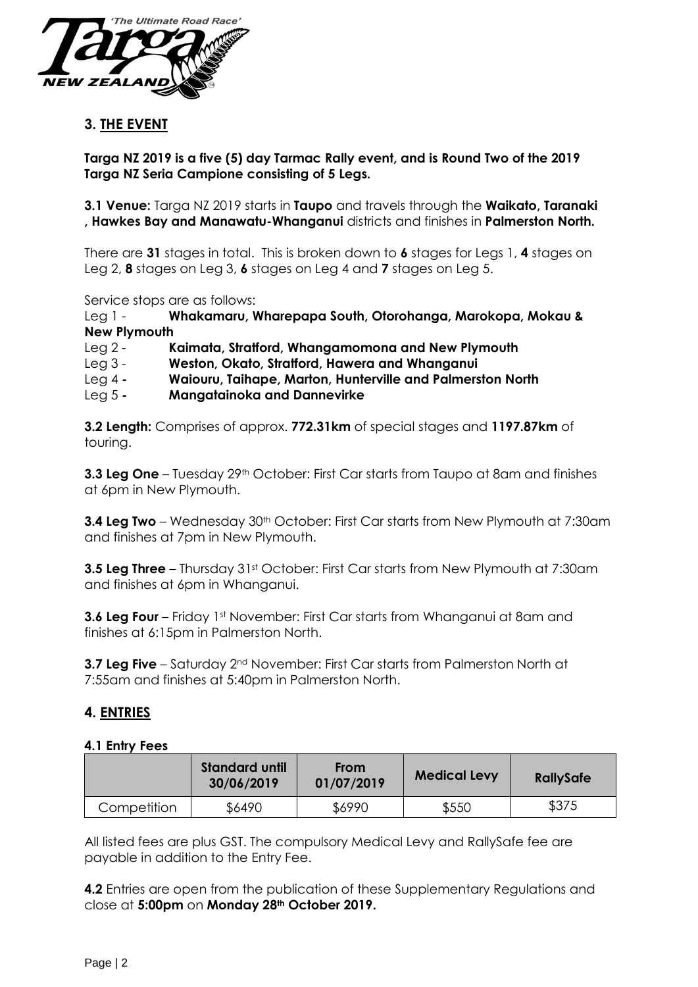

## **3. THE EVENT**

**Targa NZ 2019 is a five (5) day Tarmac Rally event, and is Round Two of the 2019 Targa NZ Seria Campione consisting of 5 Legs.**

**3.1 Venue:** Targa NZ 2019 starts in **Taupo** and travels through the **Waikato, Taranaki , Hawkes Bay and Manawatu-Whanganui** districts and finishes in **Palmerston North.**

There are **31** stages in total. This is broken down to **6** stages for Legs 1, **4** stages on Leg 2, **8** stages on Leg 3, **6** stages on Leg 4 and **7** stages on Leg 5.

Service stops are as follows:

Leg 1 - **Whakamaru, Wharepapa South, Otorohanga, Marokopa, Mokau & New Plymouth**

Leg 2 - **Kaimata, Stratford, Whangamomona and New Plymouth**

- Leg 3 **Weston, Okato, Stratford, Hawera and Whanganui**
- Leg 4 **- Waiouru, Taihape, Marton, Hunterville and Palmerston North**
- Leg 5 **- Mangatainoka and Dannevirke**

**3.2 Length:** Comprises of approx. **772.31km** of special stages and **1197.87km** of touring.

**3.3 Leg One** – Tuesday 29<sup>th</sup> October: First Car starts from Taupo at 8am and finishes at 6pm in New Plymouth.

**3.4 Leg Two** – Wednesday 30<sup>th</sup> October: First Car starts from New Plymouth at 7:30am and finishes at 7pm in New Plymouth.

**3.5 Leg Three** – Thursday 31st October: First Car starts from New Plymouth at 7:30am and finishes at 6pm in Whanganui.

**3.6 Leg Four** – Friday 1st November: First Car starts from Whanganui at 8am and finishes at 6:15pm in Palmerston North.

**3.7 Leg Five** – Saturday 2<sup>nd</sup> November: First Car starts from Palmerston North at 7:55am and finishes at 5:40pm in Palmerston North.

#### **4. ENTRIES**

#### **4.1 Entry Fees**

|             | <b>Standard until</b><br>30/06/2019 | <b>From</b><br>01/07/2019 | <b>Medical Levy</b> | <b>RallySafe</b> |
|-------------|-------------------------------------|---------------------------|---------------------|------------------|
| Competition | \$6490                              | \$6990                    | \$550               | \$375            |

All listed fees are plus GST. The compulsory Medical Levy and RallySafe fee are payable in addition to the Entry Fee.

**4.2** Entries are open from the publication of these Supplementary Regulations and close at **5:00pm** on **Monday 28th October 2019.**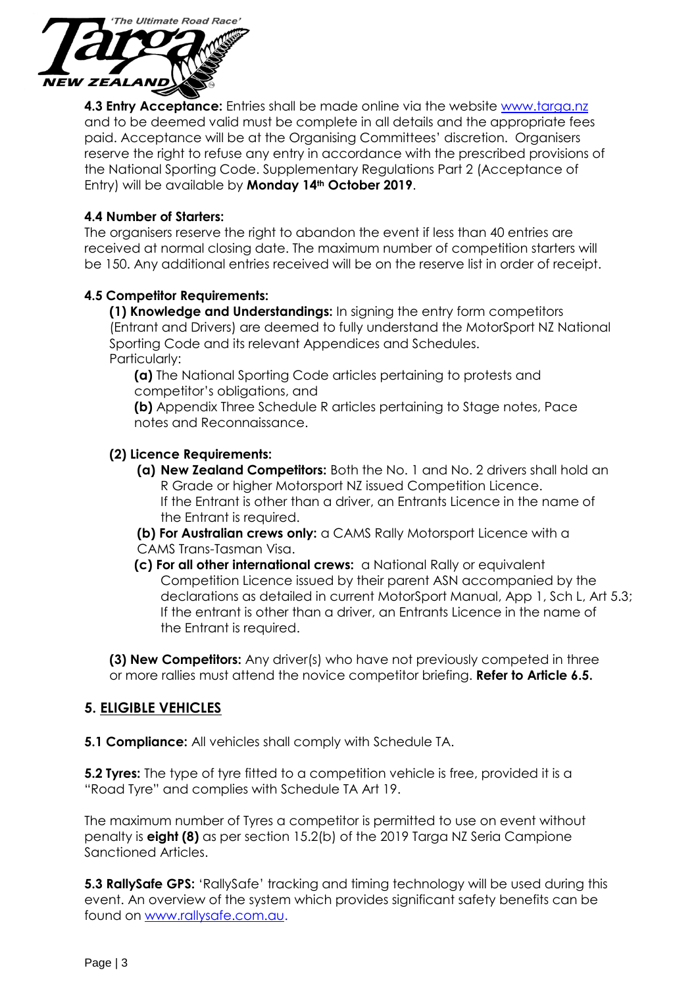

**4.3 Entry Acceptance:** Entries shall be made online via the website [www.targa.nz](http://www.targa.nz/) and to be deemed valid must be complete in all details and the appropriate fees paid. Acceptance will be at the Organising Committees' discretion. Organisers reserve the right to refuse any entry in accordance with the prescribed provisions of the National Sporting Code. Supplementary Regulations Part 2 (Acceptance of Entry) will be available by **Monday 14th October 2019**.

#### **4.4 Number of Starters:**

The organisers reserve the right to abandon the event if less than 40 entries are received at normal closing date. The maximum number of competition starters will be 150. Any additional entries received will be on the reserve list in order of receipt.

#### **4.5 Competitor Requirements:**

**(1) Knowledge and Understandings:** In signing the entry form competitors (Entrant and Drivers) are deemed to fully understand the MotorSport NZ National Sporting Code and its relevant Appendices and Schedules. Particularly:

**(a)** The National Sporting Code articles pertaining to protests and competitor's obligations, and

**(b)** Appendix Three Schedule R articles pertaining to Stage notes, Pace notes and Reconnaissance.

#### **(2) Licence Requirements:**

- **(a) New Zealand Competitors:** Both the No. 1 and No. 2 drivers shall hold an R Grade or higher Motorsport NZ issued Competition Licence. If the Entrant is other than a driver, an Entrants Licence in the name of the Entrant is required.
- **(b) For Australian crews only:** a CAMS Rally Motorsport Licence with a CAMS Trans-Tasman Visa.
- **(c) For all other international crews:** a National Rally or equivalent Competition Licence issued by their parent ASN accompanied by the declarations as detailed in current MotorSport Manual, App 1, Sch L, Art 5.3; If the entrant is other than a driver, an Entrants Licence in the name of the Entrant is required.

**(3) New Competitors:** Any driver(s) who have not previously competed in three or more rallies must attend the novice competitor briefing. **Refer to Article 6.5.**

## **5. ELIGIBLE VEHICLES**

**5.1 Compliance:** All vehicles shall comply with Schedule TA.

**5.2 Tyres:** The type of tyre fitted to a competition vehicle is free, provided it is a "Road Tyre" and complies with Schedule TA Art 19.

The maximum number of Tyres a competitor is permitted to use on event without penalty is **eight (8)** as per section 15.2(b) of the 2019 Targa NZ Seria Campione Sanctioned Articles.

**5.3 RallySafe GPS:** 'RallySafe' tracking and timing technology will be used during this event. An overview of the system which provides significant safety benefits can be found on [www.rallysafe.com.au.](http://www.rallysafe.com.au/)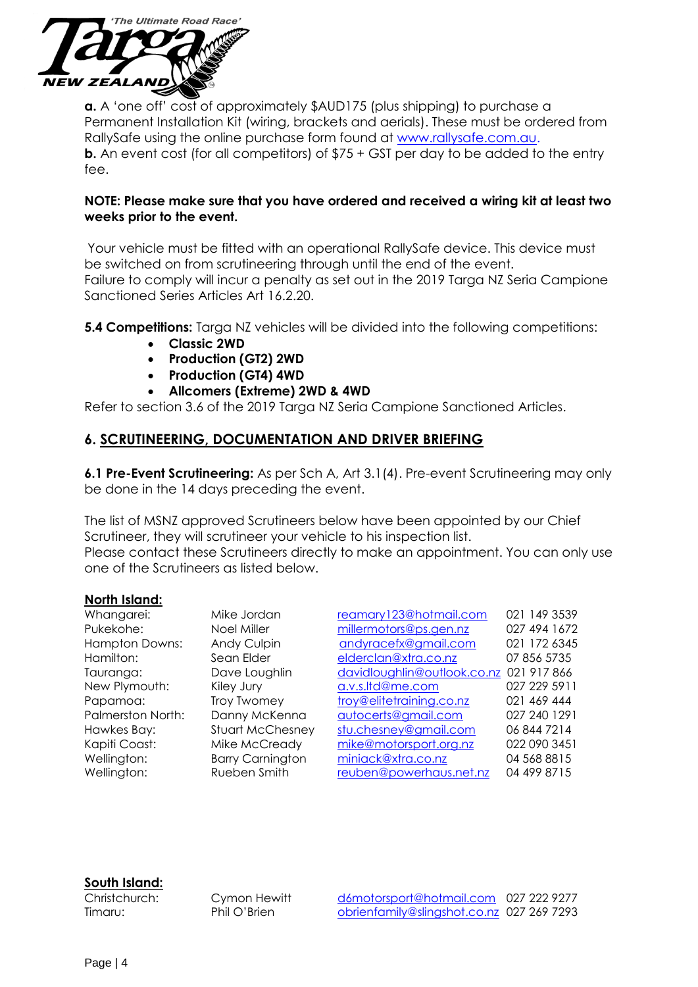

**a.** A 'one off' cost of approximately \$AUD175 (plus shipping) to purchase a Permanent Installation Kit (wiring, brackets and aerials). These must be ordered from RallySafe using the online purchase form found at [www.rallysafe.com.au.](http://www.rallysafe.com.au/) **b.** An event cost (for all competitors) of \$75 + GST per day to be added to the entry fee.

#### **NOTE: Please make sure that you have ordered and received a wiring kit at least two weeks prior to the event.**

Your vehicle must be fitted with an operational RallySafe device. This device must be switched on from scrutineering through until the end of the event. Failure to comply will incur a penalty as set out in the 2019 Targa NZ Seria Campione Sanctioned Series Articles Art 16.2.20.

**5.4 Competitions:** Targa NZ vehicles will be divided into the following competitions:

- **Classic 2WD**
- **Production (GT2) 2WD**
- **Production (GT4) 4WD**
- **Allcomers (Extreme) 2WD & 4WD**

Refer to section 3.6 of the 2019 Targa NZ Seria Campione Sanctioned Articles.

### **6. SCRUTINEERING, DOCUMENTATION AND DRIVER BRIEFING**

**6.1 Pre-Event Scrutineering:** As per Sch A, Art 3.1(4). Pre-event Scrutineering may only be done in the 14 days preceding the event.

The list of MSNZ approved Scrutineers below have been appointed by our Chief Scrutineer, they will scrutineer your vehicle to his inspection list.

Please contact these Scrutineers directly to make an appointment. You can only use one of the Scrutineers as listed below.

#### **North Island:**

| Whangarei:            | Mike Jordan             | reamary123@hotmail.com                  | 021 149 3539 |
|-----------------------|-------------------------|-----------------------------------------|--------------|
| Pukekohe:             | Noel Miller             | millermotors@ps.gen.nz                  | 027 494 1672 |
| <b>Hampton Downs:</b> | Andy Culpin             | andyracefx@gmail.com                    | 021 172 6345 |
| Hamilton:             | Sean Elder              | elderclan@xtra.co.nz                    | 07 856 5735  |
| Tauranga:             | Dave Loughlin           | davidloughlin@outlook.co.nz 021 917 866 |              |
| New Plymouth:         | Kiley Jury              | a.v.s.Itd@me.com                        | 027 229 5911 |
| Papamoa:              | Troy Twomey             | troy@elitetraining.co.nz                | 021 469 444  |
| Palmerston North:     | Danny McKenna           | autocerts@gmail.com                     | 027 240 1291 |
| Hawkes Bay:           | <b>Stuart McChesney</b> | stu.chesney@gmail.com                   | 06 844 7214  |
| Kapiti Coast:         | Mike McCready           | mike@motorsport.org.nz                  | 022 090 3451 |
| Wellington:           | <b>Barry Carnington</b> | miniack@xtra.co.nz                      | 04 568 8815  |
| Wellington:           | Rueben Smith            | reuben@powerhaus.net.nz                 | 04 499 8715  |

#### **South Island:**

Christchurch: Cymon Hewitt [d6motorsport@hotmail.com](mailto:d6motorsport@hotmail.com) 027 222 9277 Timaru: Phil O'Brien [obrienfamily@slingshot.co.nz](mailto:obrienfamily@slingshot.co.nz) 027 269 7293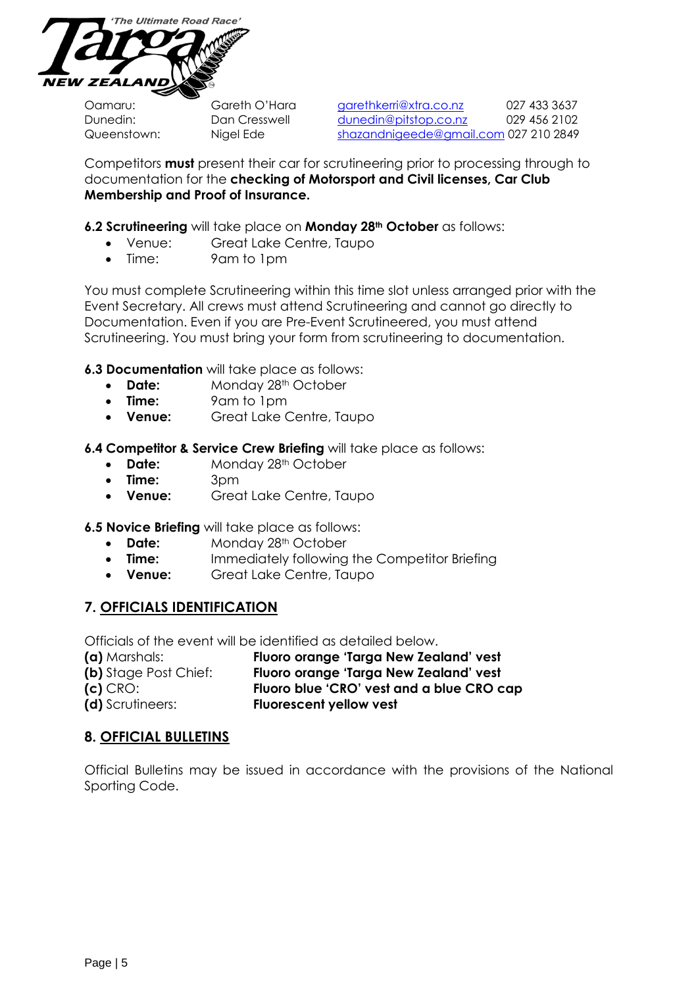

Oamaru: Gareth O'Hara [garethkerri@xtra.co.nz](mailto:garethkerri@xtra.co.nz) 027 433 3637 Dunedin: Dan Cresswell [dunedin@pitstop.co.nz](mailto:dunedin@pitstop.co.nz) 029 456 2102 Queenstown: Nigel Ede [shazandnigeede@gmail.com](mailto:shazandnigeede@gmail.com) 027 210 2849

Competitors **must** present their car for scrutineering prior to processing through to documentation for the **checking of Motorsport and Civil licenses, Car Club Membership and Proof of Insurance.**

#### **6.2 Scrutineering** will take place on **Monday 28th October** as follows:

- Venue: Great Lake Centre, Taupo
- Time: 9am to 1pm

You must complete Scrutineering within this time slot unless arranged prior with the Event Secretary. All crews must attend Scrutineering and cannot go directly to Documentation. Even if you are Pre-Event Scrutineered, you must attend Scrutineering. You must bring your form from scrutineering to documentation.

**6.3 Documentation** will take place as follows:

- **Date:** Monday 28<sup>th</sup> October
- **Time:** 9am to 1pm
- **Venue:** Great Lake Centre, Taupo

**6.4 Competitor & Service Crew Briefing** will take place as follows:

- **Date:** Monday 28<sup>th</sup> October
- **Time:** 3pm
- **Venue:** Great Lake Centre, Taupo

**6.5 Novice Briefing** will take place as follows:

- **Date:** Monday 28<sup>th</sup> October
- **Time:** Immediately following the Competitor Briefing
- **Venue:** Great Lake Centre, Taupo

#### **7. OFFICIALS IDENTIFICATION**

Officials of the event will be identified as detailed below.

| (a) Marshals:                | Fluoro orange 'Targa New Zealand' vest    |
|------------------------------|-------------------------------------------|
| <b>(b)</b> Stage Post Chief: | Fluoro orange 'Targa New Zealand' vest    |
| $(c)$ CRO:                   | Fluoro blue 'CRO' vest and a blue CRO cap |
| (d) Scrutineers:             | <b>Fluorescent yellow vest</b>            |

#### **8. OFFICIAL BULLETINS**

Official Bulletins may be issued in accordance with the provisions of the National Sporting Code.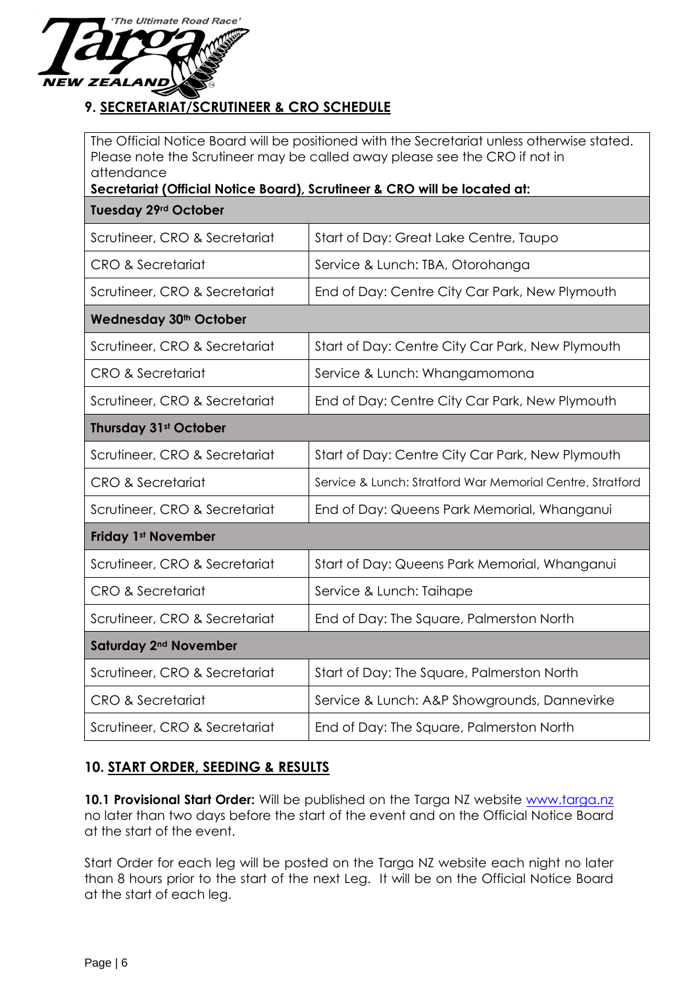

## **9. SECRETARIAT/SCRUTINEER & CRO SCHEDULE**

The Official Notice Board will be positioned with the Secretariat unless otherwise stated. Please note the Scrutineer may be called away please see the CRO if not in attendance

**Secretariat (Official Notice Board), Scrutineer & CRO will be located at:**

|  | <b>Tuesday 29rd October</b> |
|--|-----------------------------|
|  |                             |

| Scrutineer, CRO & Secretariat      | Start of Day: Great Lake Centre, Taupo                    |  |
|------------------------------------|-----------------------------------------------------------|--|
| <b>CRO &amp; Secretariat</b>       | Service & Lunch: TBA, Otorohanga                          |  |
| Scrutineer, CRO & Secretariat      | End of Day: Centre City Car Park, New Plymouth            |  |
| Wednesday 30 <sup>th</sup> October |                                                           |  |
| Scrutineer, CRO & Secretariat      | Start of Day: Centre City Car Park, New Plymouth          |  |
| CRO & Secretariat                  | Service & Lunch: Whangamomona                             |  |
| Scrutineer, CRO & Secretariat      | End of Day: Centre City Car Park, New Plymouth            |  |
| <b>Thursday 31st October</b>       |                                                           |  |
| Scrutineer, CRO & Secretariat      | Start of Day: Centre City Car Park, New Plymouth          |  |
| <b>CRO &amp; Secretariat</b>       | Service & Lunch: Stratford War Memorial Centre, Stratford |  |
| Scrutineer, CRO & Secretariat      | End of Day: Queens Park Memorial, Whanganui               |  |
| <b>Friday 1st November</b>         |                                                           |  |
| Scrutineer, CRO & Secretariat      | Start of Day: Queens Park Memorial, Whanganui             |  |
| <b>CRO &amp; Secretariat</b>       | Service & Lunch: Taihape                                  |  |
| Scrutineer, CRO & Secretariat      | End of Day: The Square, Palmerston North                  |  |
| Saturday 2 <sup>nd</sup> November  |                                                           |  |
| Scrutineer, CRO & Secretariat      | Start of Day: The Square, Palmerston North                |  |
| <b>CRO &amp; Secretariat</b>       | Service & Lunch: A&P Showgrounds, Dannevirke              |  |
| Scrutineer, CRO & Secretariat      | End of Day: The Square, Palmerston North                  |  |

## **10. START ORDER, SEEDING & RESULTS**

10.1 Provisional Start Order: Will be published on the Targa NZ website [www.targa.nz](http://www.targa.nz/) no later than two days before the start of the event and on the Official Notice Board at the start of the event.

Start Order for each leg will be posted on the Targa NZ website each night no later than 8 hours prior to the start of the next Leg. It will be on the Official Notice Board at the start of each leg.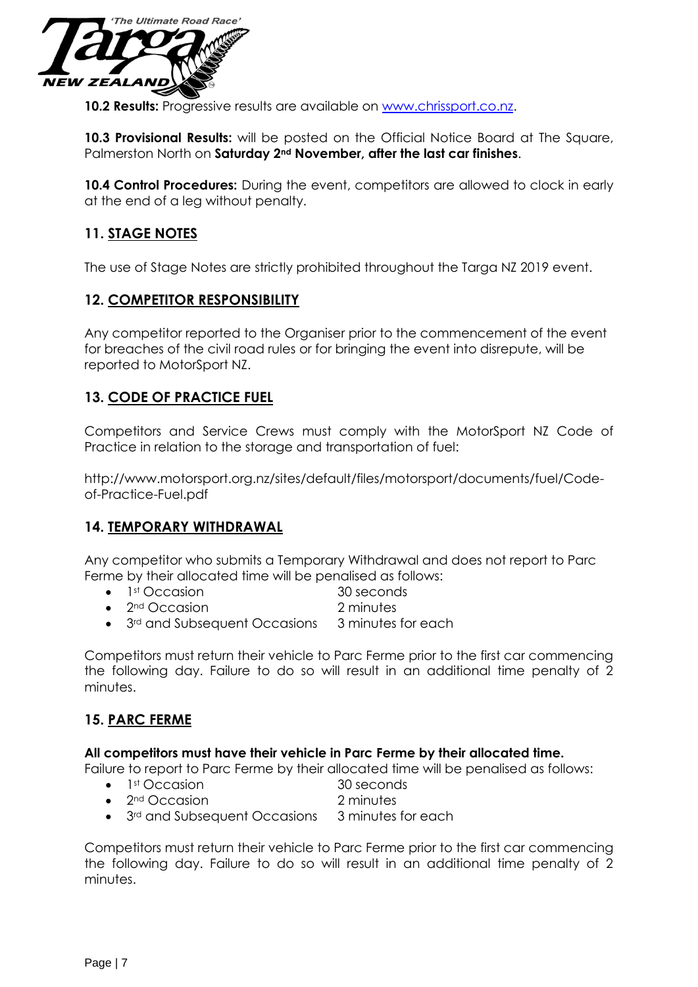

**10.2 Results:** Progressive results are available on [www.chrissport.co.nz.](http://www.chrissport.co.nz/)

**10.3 Provisional Results:** will be posted on the Official Notice Board at The Square, Palmerston North on **Saturday 2nd November, after the last car finishes**.

10.4 Control Procedures: During the event, competitors are allowed to clock in early at the end of a leg without penalty.

## **11. STAGE NOTES**

The use of Stage Notes are strictly prohibited throughout the Targa NZ 2019 event.

#### **12. COMPETITOR RESPONSIBILITY**

Any competitor reported to the Organiser prior to the commencement of the event for breaches of the civil road rules or for bringing the event into disrepute, will be reported to MotorSport NZ.

#### **13. CODE OF PRACTICE FUEL**

Competitors and Service Crews must comply with the MotorSport NZ Code of Practice in relation to the storage and transportation of fuel:

http://www.motorsport.org.nz/sites/default/files/motorsport/documents/fuel/Codeof-Practice-Fuel.pdf

#### **14. TEMPORARY WITHDRAWAL**

Any competitor who submits a Temporary Withdrawal and does not report to Parc Ferme by their allocated time will be penalised as follows:

- 1<sup>st</sup> Occasion 30 seconds
- 2nd Occasion 2 minutes
- 3<sup>rd</sup> and Subsequent Occasions 3 minutes for each

Competitors must return their vehicle to Parc Ferme prior to the first car commencing the following day. Failure to do so will result in an additional time penalty of 2 minutes.

#### **15. PARC FERME**

#### **All competitors must have their vehicle in Parc Ferme by their allocated time.**

Failure to report to Parc Ferme by their allocated time will be penalised as follows:

- 1<sup>st</sup> Occasion 30 seconds
	- 2nd Occasion 2 minutes
- 3<sup>rd</sup> and Subsequent Occasions 3 minutes for each

Competitors must return their vehicle to Parc Ferme prior to the first car commencing the following day. Failure to do so will result in an additional time penalty of 2 minutes.